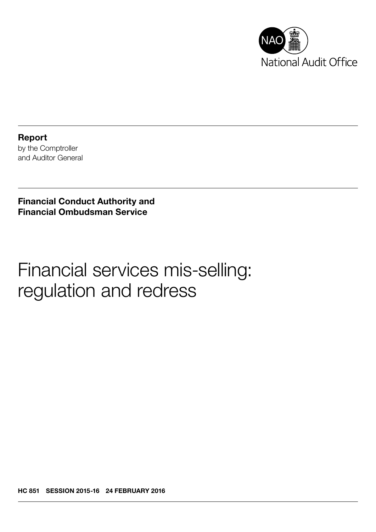

Report by the Comptroller and Auditor General

Financial Conduct Authority and Financial Ombudsman Service

Financial services mis-selling: regulation and redress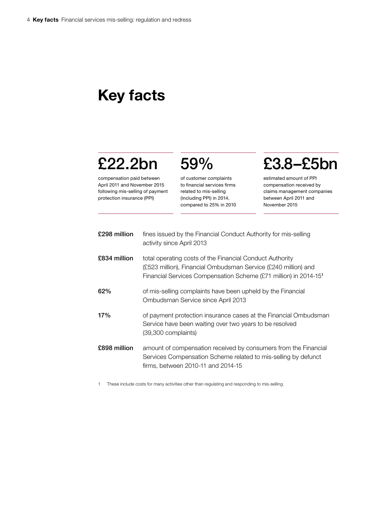# Key facts

# £22.2bn

compensation paid between April 2011 and November 2015 following mis-selling of payment protection insurance (PPI)

of customer complaints to financial services firms related to mis-selling (including PPI) in 2014, compared to 25% in 2010

59%

# £3.8–£5bn

estimated amount of PPI compensation received by claims management companies between April 2011 and November 2015

| £298 million | fines issued by the Financial Conduct Authority for mis-selling<br>activity since April 2013                                                                                                               |
|--------------|------------------------------------------------------------------------------------------------------------------------------------------------------------------------------------------------------------|
| £834 million | total operating costs of the Financial Conduct Authority<br>(£523 million), Financial Ombudsman Service (£240 million) and<br>Financial Services Compensation Scheme (£71 million) in 2014-15 <sup>1</sup> |
| 62%          | of mis-selling complaints have been upheld by the Financial<br>Ombudsman Service since April 2013                                                                                                          |
| 17%          | of payment protection insurance cases at the Financial Ombudsman<br>Service have been waiting over two years to be resolved<br>$(39,300$ complaints)                                                       |
| £898 million | amount of compensation received by consumers from the Financial<br>Services Compensation Scheme related to mis-selling by defunct<br>firms, between 2010-11 and 2014-15                                    |

1 These include costs for many activities other than regulating and responding to mis-selling.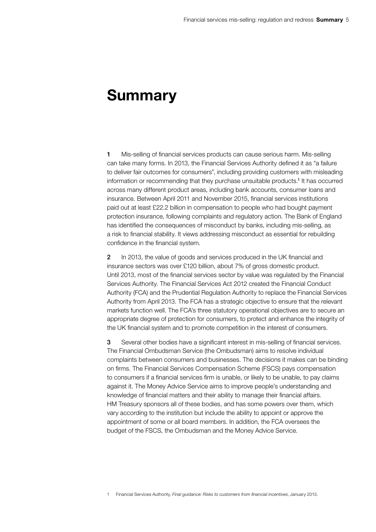## Summary

1 Mis-selling of financial services products can cause serious harm. Mis-selling can take many forms. In 2013, the Financial Services Authority defined it as "a failure to deliver fair outcomes for consumers", including providing customers with misleading information or recommending that they purchase unsuitable products.<sup>1</sup> It has occurred across many different product areas, including bank accounts, consumer loans and insurance. Between April 2011 and November 2015, financial services institutions paid out at least £22.2 billion in compensation to people who had bought payment protection insurance, following complaints and regulatory action. The Bank of England has identified the consequences of misconduct by banks, including mis-selling, as a risk to financial stability. It views addressing misconduct as essential for rebuilding confidence in the financial system.

2 In 2013, the value of goods and services produced in the UK financial and insurance sectors was over £120 billion, about 7% of gross domestic product. Until 2013, most of the financial services sector by value was regulated by the Financial Services Authority. The Financial Services Act 2012 created the Financial Conduct Authority (FCA) and the Prudential Regulation Authority to replace the Financial Services Authority from April 2013. The FCA has a strategic objective to ensure that the relevant markets function well. The FCA's three statutory operational objectives are to secure an appropriate degree of protection for consumers, to protect and enhance the integrity of the UK financial system and to promote competition in the interest of consumers.

**3** Several other bodies have a significant interest in mis-selling of financial services. The Financial Ombudsman Service (the Ombudsman) aims to resolve individual complaints between consumers and businesses. The decisions it makes can be binding on firms. The Financial Services Compensation Scheme (FSCS) pays compensation to consumers if a financial services firm is unable, or likely to be unable, to pay claims against it. The Money Advice Service aims to improve people's understanding and knowledge of financial matters and their ability to manage their financial affairs. HM Treasury sponsors all of these bodies, and has some powers over them, which vary according to the institution but include the ability to appoint or approve the appointment of some or all board members. In addition, the FCA oversees the budget of the FSCS, the Ombudsman and the Money Advice Service.

1 Financial Services Authority, *Final guidance: Risks to customers from financial incentives*, January 2013.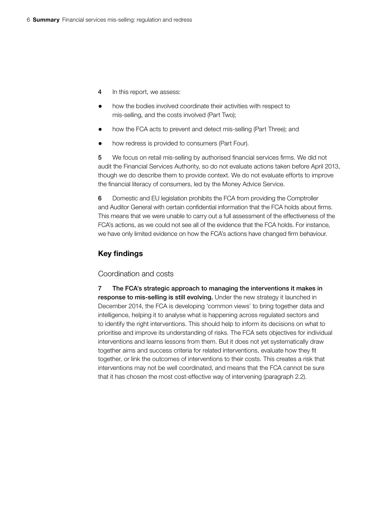- 4 In this report, we assess:
- how the bodies involved coordinate their activities with respect to mis-selling, and the costs involved (Part Two);
- how the FCA acts to prevent and detect mis-selling (Part Three); and
- how redress is provided to consumers (Part Four).

5 We focus on retail mis-selling by authorised financial services firms. We did not audit the Financial Services Authority, so do not evaluate actions taken before April 2013, though we do describe them to provide context. We do not evaluate efforts to improve the financial literacy of consumers, led by the Money Advice Service.

6 Domestic and EU legislation prohibits the FCA from providing the Comptroller and Auditor General with certain confidential information that the FCA holds about firms. This means that we were unable to carry out a full assessment of the effectiveness of the FCA's actions, as we could not see all of the evidence that the FCA holds. For instance, we have only limited evidence on how the FCA's actions have changed firm behaviour.

## Key findings

### Coordination and costs

7 The FCA's strategic approach to managing the interventions it makes in response to mis-selling is still evolving. Under the new strategy it launched in December 2014, the FCA is developing 'common views' to bring together data and intelligence, helping it to analyse what is happening across regulated sectors and to identify the right interventions. This should help to inform its decisions on what to prioritise and improve its understanding of risks. The FCA sets objectives for individual interventions and learns lessons from them. But it does not yet systematically draw together aims and success criteria for related interventions, evaluate how they fit together, or link the outcomes of interventions to their costs. This creates a risk that interventions may not be well coordinated, and means that the FCA cannot be sure that it has chosen the most cost-effective way of intervening (paragraph 2.2).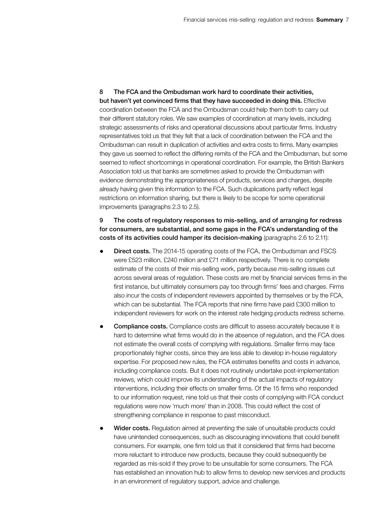8 The FCA and the Ombudsman work hard to coordinate their activities, but haven't yet convinced firms that they have succeeded in doing this. Effective coordination between the FCA and the Ombudsman could help them both to carry out their different statutory roles. We saw examples of coordination at many levels, including strategic assessments of risks and operational discussions about particular firms. Industry representatives told us that they felt that a lack of coordination between the FCA and the Ombudsman can result in duplication of activities and extra costs to firms. Many examples they gave us seemed to reflect the differing remits of the FCA and the Ombudsman, but some seemed to reflect shortcomings in operational coordination. For example, the British Bankers Association told us that banks are sometimes asked to provide the Ombudsman with evidence demonstrating the appropriateness of products, services and charges, despite already having given this information to the FCA. Such duplications partly reflect legal restrictions on information sharing, but there is likely to be scope for some operational improvements (paragraphs 2.3 to 2.5).

### 9 The costs of regulatory responses to mis-selling, and of arranging for redress for consumers, are substantial, and some gaps in the FCA's understanding of the costs of its activities could hamper its decision-making (paragraphs 2.6 to 2.11):

- **Direct costs.** The 2014-15 operating costs of the FCA, the Ombudsman and FSCS were £523 million, £240 million and £71 million respectively. There is no complete estimate of the costs of their mis-selling work, partly because mis-selling issues cut across several areas of regulation. These costs are met by financial services firms in the first instance, but ultimately consumers pay too through firms' fees and charges. Firms also incur the costs of independent reviewers appointed by themselves or by the FCA, which can be substantial. The FCA reports that nine firms have paid £300 million to independent reviewers for work on the interest rate hedging products redress scheme.
- Compliance costs. Compliance costs are difficult to assess accurately because it is hard to determine what firms would do in the absence of regulation, and the FCA does not estimate the overall costs of complying with regulations. Smaller firms may face proportionately higher costs, since they are less able to develop in-house regulatory expertise. For proposed new rules, the FCA estimates benefits and costs in advance, including compliance costs. But it does not routinely undertake post-implementation reviews, which could improve its understanding of the actual impacts of regulatory interventions, including their effects on smaller firms. Of the 15 firms who responded to our information request, nine told us that their costs of complying with FCA conduct regulations were now 'much more' than in 2008. This could reflect the cost of strengthening compliance in response to past misconduct.
- Wider costs. Regulation aimed at preventing the sale of unsuitable products could have unintended consequences, such as discouraging innovations that could benefit consumers. For example, one firm told us that it considered that firms had become more reluctant to introduce new products, because they could subsequently be regarded as mis-sold if they prove to be unsuitable for some consumers. The FCA has established an innovation hub to allow firms to develop new services and products in an environment of regulatory support, advice and challenge.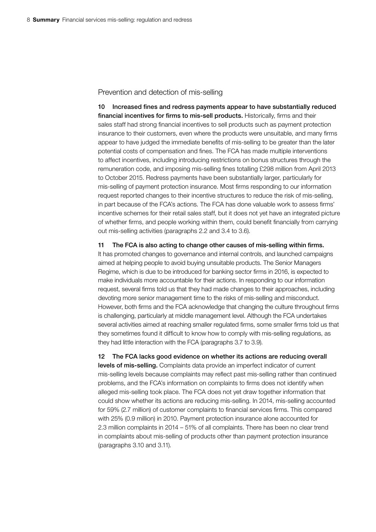#### Prevention and detection of mis-selling

10 Increased fines and redress payments appear to have substantially reduced financial incentives for firms to mis-sell products. Historically, firms and their sales staff had strong financial incentives to sell products such as payment protection insurance to their customers, even where the products were unsuitable, and many firms appear to have judged the immediate benefits of mis-selling to be greater than the later potential costs of compensation and fines. The FCA has made multiple interventions to affect incentives, including introducing restrictions on bonus structures through the remuneration code, and imposing mis-selling fines totalling £298 million from April 2013 to October 2015. Redress payments have been substantially larger, particularly for mis-selling of payment protection insurance. Most firms responding to our information request reported changes to their incentive structures to reduce the risk of mis-selling, in part because of the FCA's actions. The FCA has done valuable work to assess firms' incentive schemes for their retail sales staff, but it does not yet have an integrated picture of whether firms, and people working within them, could benefit financially from carrying out mis-selling activities (paragraphs 2.2 and 3.4 to 3.6).

11 The FCA is also acting to change other causes of mis-selling within firms.

It has promoted changes to governance and internal controls, and launched campaigns aimed at helping people to avoid buying unsuitable products. The Senior Managers Regime, which is due to be introduced for banking sector firms in 2016, is expected to make individuals more accountable for their actions. In responding to our information request, several firms told us that they had made changes to their approaches, including devoting more senior management time to the risks of mis-selling and misconduct. However, both firms and the FCA acknowledge that changing the culture throughout firms is challenging, particularly at middle management level. Although the FCA undertakes several activities aimed at reaching smaller regulated firms, some smaller firms told us that they sometimes found it difficult to know how to comply with mis-selling regulations, as they had little interaction with the FCA (paragraphs 3.7 to 3.9).

12 The FCA lacks good evidence on whether its actions are reducing overall levels of mis-selling. Complaints data provide an imperfect indicator of current mis-selling levels because complaints may reflect past mis-selling rather than continued problems, and the FCA's information on complaints to firms does not identify when alleged mis-selling took place. The FCA does not yet draw together information that could show whether its actions are reducing mis-selling. In 2014, mis-selling accounted for 59% (2.7 million) of customer complaints to financial services firms. This compared with 25% (0.9 million) in 2010. Payment protection insurance alone accounted for 2.3 million complaints in 2014 – 51% of all complaints. There has been no clear trend in complaints about mis-selling of products other than payment protection insurance (paragraphs 3.10 and 3.11).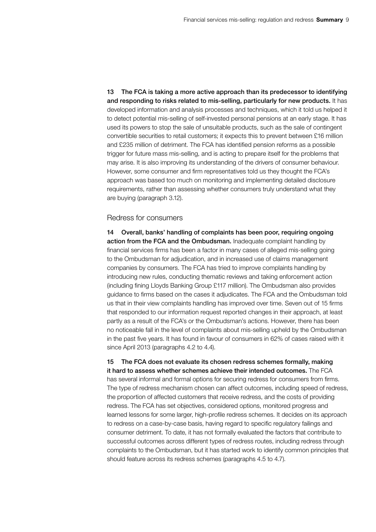13 The FCA is taking a more active approach than its predecessor to identifying and responding to risks related to mis-selling, particularly for new products. It has developed information and analysis processes and techniques, which it told us helped it to detect potential mis-selling of self-invested personal pensions at an early stage. It has used its powers to stop the sale of unsuitable products, such as the sale of contingent convertible securities to retail customers; it expects this to prevent between £16 million and £235 million of detriment. The FCA has identified pension reforms as a possible trigger for future mass mis-selling, and is acting to prepare itself for the problems that may arise. It is also improving its understanding of the drivers of consumer behaviour. However, some consumer and firm representatives told us they thought the FCA's approach was based too much on monitoring and implementing detailed disclosure requirements, rather than assessing whether consumers truly understand what they are buying (paragraph 3.12).

#### Redress for consumers

14 Overall, banks' handling of complaints has been poor, requiring ongoing action from the FCA and the Ombudsman. Inadequate complaint handling by financial services firms has been a factor in many cases of alleged mis-selling going to the Ombudsman for adjudication, and in increased use of claims management companies by consumers. The FCA has tried to improve complaints handling by introducing new rules, conducting thematic reviews and taking enforcement action (including fining Lloyds Banking Group £117 million). The Ombudsman also provides guidance to firms based on the cases it adjudicates. The FCA and the Ombudsman told us that in their view complaints handling has improved over time. Seven out of 15 firms that responded to our information request reported changes in their approach, at least partly as a result of the FCA's or the Ombudsman's actions. However, there has been no noticeable fall in the level of complaints about mis-selling upheld by the Ombudsman in the past five years. It has found in favour of consumers in 62% of cases raised with it since April 2013 (paragraphs 4.2 to 4.4).

15 The FCA does not evaluate its chosen redress schemes formally, making it hard to assess whether schemes achieve their intended outcomes. The FCA has several informal and formal options for securing redress for consumers from firms. The type of redress mechanism chosen can affect outcomes, including speed of redress, the proportion of affected customers that receive redress, and the costs of providing redress. The FCA has set objectives, considered options, monitored progress and learned lessons for some larger, high-profile redress schemes. It decides on its approach to redress on a case-by-case basis, having regard to specific regulatory failings and consumer detriment. To date, it has not formally evaluated the factors that contribute to successful outcomes across different types of redress routes, including redress through complaints to the Ombudsman, but it has started work to identify common principles that should feature across its redress schemes (paragraphs 4.5 to 4.7).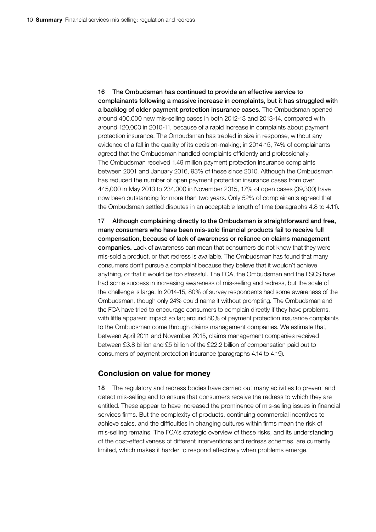16 The Ombudsman has continued to provide an effective service to complainants following a massive increase in complaints, but it has struggled with a backlog of older payment protection insurance cases. The Ombudsman opened around 400,000 new mis-selling cases in both 2012-13 and 2013-14, compared with around 120,000 in 2010-11, because of a rapid increase in complaints about payment protection insurance. The Ombudsman has trebled in size in response, without any evidence of a fall in the quality of its decision-making; in 2014-15, 74% of complainants agreed that the Ombudsman handled complaints efficiently and professionally. The Ombudsman received 1.49 million payment protection insurance complaints between 2001 and January 2016, 93% of these since 2010. Although the Ombudsman has reduced the number of open payment protection insurance cases from over 445,000 in May 2013 to 234,000 in November 2015, 17% of open cases (39,300) have now been outstanding for more than two years. Only 52% of complainants agreed that the Ombudsman settled disputes in an acceptable length of time (paragraphs 4.8 to 4.11).

17 Although complaining directly to the Ombudsman is straightforward and free, many consumers who have been mis-sold financial products fail to receive full compensation, because of lack of awareness or reliance on claims management companies. Lack of awareness can mean that consumers do not know that they were mis-sold a product, or that redress is available. The Ombudsman has found that many consumers don't pursue a complaint because they believe that it wouldn't achieve anything, or that it would be too stressful. The FCA, the Ombudsman and the FSCS have had some success in increasing awareness of mis-selling and redress, but the scale of the challenge is large. In 2014-15, 80% of survey respondents had some awareness of the Ombudsman, though only 24% could name it without prompting. The Ombudsman and the FCA have tried to encourage consumers to complain directly if they have problems, with little apparent impact so far; around 80% of payment protection insurance complaints to the Ombudsman come through claims management companies. We estimate that, between April 2011 and November 2015, claims management companies received between £3.8 billion and £5 billion of the £22.2 billion of compensation paid out to consumers of payment protection insurance (paragraphs 4.14 to 4.19).

#### Conclusion on value for money

18 The regulatory and redress bodies have carried out many activities to prevent and detect mis-selling and to ensure that consumers receive the redress to which they are entitled. These appear to have increased the prominence of mis-selling issues in financial services firms. But the complexity of products, continuing commercial incentives to achieve sales, and the difficulties in changing cultures within firms mean the risk of mis-selling remains. The FCA's strategic overview of these risks, and its understanding of the cost-effectiveness of different interventions and redress schemes, are currently limited, which makes it harder to respond effectively when problems emerge.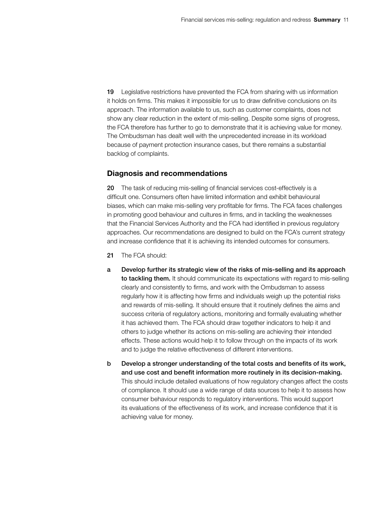19 Legislative restrictions have prevented the FCA from sharing with us information it holds on firms. This makes it impossible for us to draw definitive conclusions on its approach. The information available to us, such as customer complaints, does not show any clear reduction in the extent of mis-selling. Despite some signs of progress, the FCA therefore has further to go to demonstrate that it is achieving value for money. The Ombudsman has dealt well with the unprecedented increase in its workload because of payment protection insurance cases, but there remains a substantial backlog of complaints.

#### Diagnosis and recommendations

20 The task of reducing mis-selling of financial services cost-effectively is a difficult one. Consumers often have limited information and exhibit behavioural biases, which can make mis-selling very profitable for firms. The FCA faces challenges in promoting good behaviour and cultures in firms, and in tackling the weaknesses that the Financial Services Authority and the FCA had identified in previous regulatory approaches. Our recommendations are designed to build on the FCA's current strategy and increase confidence that it is achieving its intended outcomes for consumers.

- 21 The FCA should:
- a Develop further its strategic view of the risks of mis-selling and its approach to tackling them. It should communicate its expectations with regard to mis-selling clearly and consistently to firms, and work with the Ombudsman to assess regularly how it is affecting how firms and individuals weigh up the potential risks and rewards of mis-selling. It should ensure that it routinely defines the aims and success criteria of regulatory actions, monitoring and formally evaluating whether it has achieved them. The FCA should draw together indicators to help it and others to judge whether its actions on mis-selling are achieving their intended effects. These actions would help it to follow through on the impacts of its work and to judge the relative effectiveness of different interventions.
- b Develop a stronger understanding of the total costs and benefits of its work, and use cost and benefit information more routinely in its decision-making. This should include detailed evaluations of how regulatory changes affect the costs of compliance. It should use a wide range of data sources to help it to assess how consumer behaviour responds to regulatory interventions. This would support its evaluations of the effectiveness of its work, and increase confidence that it is achieving value for money.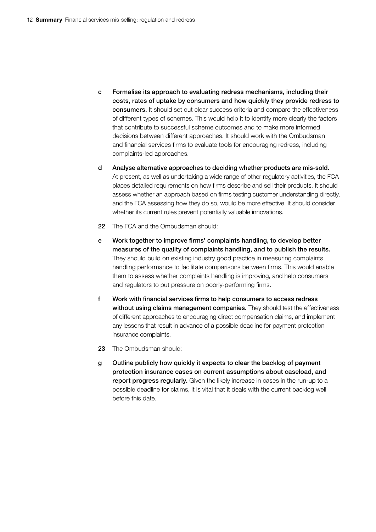- c Formalise its approach to evaluating redress mechanisms, including their costs, rates of uptake by consumers and how quickly they provide redress to consumers. It should set out clear success criteria and compare the effectiveness of different types of schemes. This would help it to identify more clearly the factors that contribute to successful scheme outcomes and to make more informed decisions between different approaches. It should work with the Ombudsman and financial services firms to evaluate tools for encouraging redress, including complaints-led approaches.
- d Analyse alternative approaches to deciding whether products are mis-sold. At present, as well as undertaking a wide range of other regulatory activities, the FCA places detailed requirements on how firms describe and sell their products. It should assess whether an approach based on firms testing customer understanding directly, and the FCA assessing how they do so, would be more effective. It should consider whether its current rules prevent potentially valuable innovations.
- 22 The FCA and the Ombudsman should:
- e Work together to improve firms' complaints handling, to develop better measures of the quality of complaints handling, and to publish the results. They should build on existing industry good practice in measuring complaints handling performance to facilitate comparisons between firms. This would enable them to assess whether complaints handling is improving, and help consumers and regulators to put pressure on poorly-performing firms.
- f Work with financial services firms to help consumers to access redress without using claims management companies. They should test the effectiveness of different approaches to encouraging direct compensation claims, and implement any lessons that result in advance of a possible deadline for payment protection insurance complaints.
- 23 The Ombudsman should:
- g Outline publicly how quickly it expects to clear the backlog of payment protection insurance cases on current assumptions about caseload, and report progress regularly. Given the likely increase in cases in the run-up to a possible deadline for claims, it is vital that it deals with the current backlog well before this date.